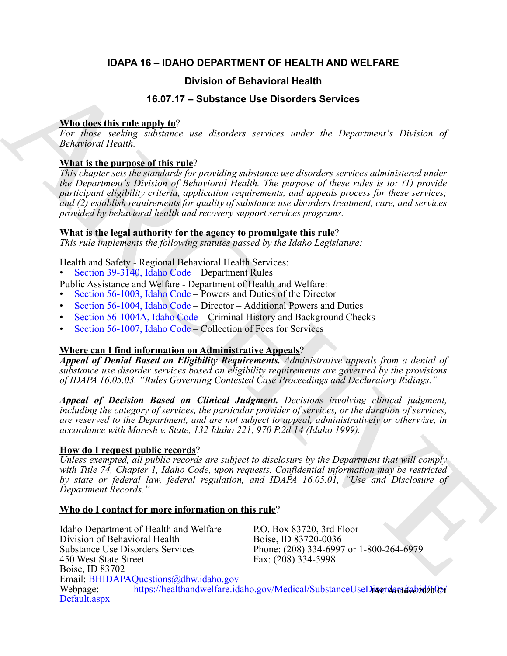# **IDAPA 16 – IDAHO DEPARTMENT OF HEALTH AND WELFARE**

# **Division of Behavioral Health**

# **16.07.17 – Substance Use Disorders Services**

## **Who does this rule apply to**?

*For those seeking substance use disorders services under the Department's Division of Behavioral Health.*

# **What is the purpose of this rule**?

*This chapter sets the standards for providing substance use disorders services administered under the Department's Division of Behavioral Health. The purpose of these rules is to: (1) provide participant eligibility criteria, application requirements, and appeals process for these services; and (2) establish requirements for quality of substance use disorders treatment, care, and services provided by behavioral health and recovery support services programs.*

## **What is the legal authority for the agency to promulgate this rule**?

*This rule implements the following statutes passed by the Idaho Legislature:*

Health and Safety - Regional Behavioral Health Services:

• Section 39-3140, Idaho Code – Department Rules

- Public Assistance and Welfare Department of Health and Welfare:
- Section 56-1003, Idaho Code Powers and Duties of the Director
- Section 56-1004, Idaho Code Director Additional Powers and Duties
- Section 56-1004A, Idaho Code Criminal History and Background Checks
- Section 56-1007, Idaho Code Collection of Fees for Services

# **Where can I find information on Administrative Appeals**?

*Appeal of Denial Based on Eligibility Requirements. Administrative appeals from a denial of substance use disorder services based on eligibility requirements are governed by the provisions of IDAPA 16.05.03, "Rules Governing Contested Case Proceedings and Declaratory Rulings."*

*Appeal of Decision Based on Clinical Judgment. Decisions involving clinical judgment, including the category of services, the particular provider of services, or the duration of services, are reserved to the Department, and are not subject to appeal, administratively or otherwise, in accordance with Maresh v. State, 132 Idaho 221, 970 P.2d 14 (Idaho 1999).*

## **How do I request public records**?

*Unless exempted, all public records are subject to disclosure by the Department that will comply with Title 74, Chapter 1, Idaho Code, upon requests. Confidential information may be restricted by state or federal law, federal regulation, and IDAPA 16.05.01, "Use and Disclosure of Department Records."*

## **Who do I contact for more information on this rule**?

**16.77 – Substitute Use the Solution of Behavioral Health<br>
16.07.7 – Substitute Use Disorders Services<br>
From down technology schematic are disorders services under the Department's Poisson of<br>
2. This is the partner of th** Idaho Department of Health and Welfare P.O. Box 83720, 3rd Floor<br>Division of Behavioral Health - Boise, ID 83720-0036 Division of Behavioral Health  $-$ Substance Use Disorders Services<br>
450 West State Street<br>
Fax: (208) 334-5998 Fax:  $(208)$  334-5998 Boise, ID 83702 Email: BHIDAPAQuestions@dhw.idaho.gov Webpage: https://healthandwelfare.idaho.gov/Medical/SubstanceUseDiAorders/teb2020051 [Default.aspx](https://healthandwelfare.idaho.gov/Medical/SubstanceUseDisorders/tabid/105/Default.aspx)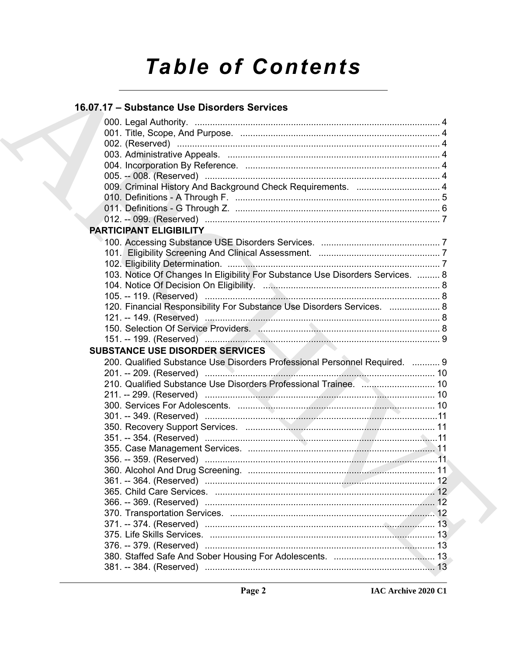# **Table of Contents**

# 16.07.17 - Substance Use Disorders Services

| 009. Criminal History And Background Check Requirements.  4                    |  |
|--------------------------------------------------------------------------------|--|
|                                                                                |  |
|                                                                                |  |
|                                                                                |  |
| <b>PARTICIPANT ELIGIBILITY</b>                                                 |  |
|                                                                                |  |
|                                                                                |  |
|                                                                                |  |
| 103. Notice Of Changes In Eligibility For Substance Use Disorders Services.  8 |  |
|                                                                                |  |
|                                                                                |  |
| 120. Financial Responsibility For Substance Use Disorders Services.  8         |  |
|                                                                                |  |
|                                                                                |  |
|                                                                                |  |
|                                                                                |  |
| <b>SUBSTANCE USE DISORDER SERVICES</b>                                         |  |
|                                                                                |  |
| 200. Qualified Substance Use Disorders Professional Personnel Required.  9     |  |
|                                                                                |  |
|                                                                                |  |
|                                                                                |  |
|                                                                                |  |
|                                                                                |  |
|                                                                                |  |
|                                                                                |  |
|                                                                                |  |
|                                                                                |  |
|                                                                                |  |
|                                                                                |  |
|                                                                                |  |
|                                                                                |  |
|                                                                                |  |
|                                                                                |  |
|                                                                                |  |
|                                                                                |  |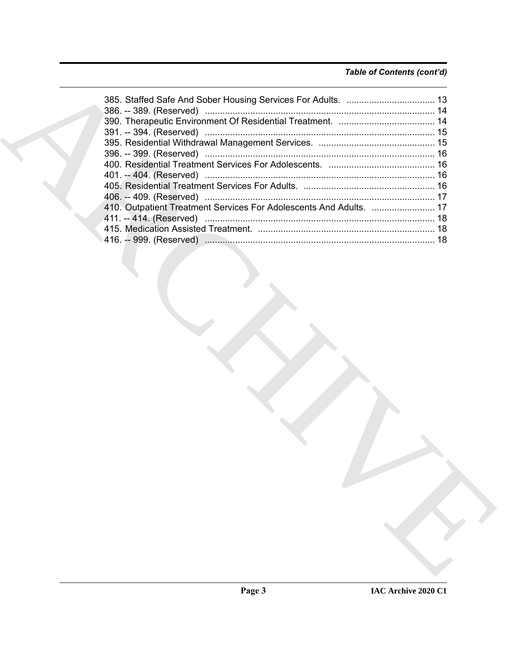# *Table of Contents (cont'd)*

| 410. Outpatient Treatment Services For Adolescents And Adults.  17 |
|--------------------------------------------------------------------|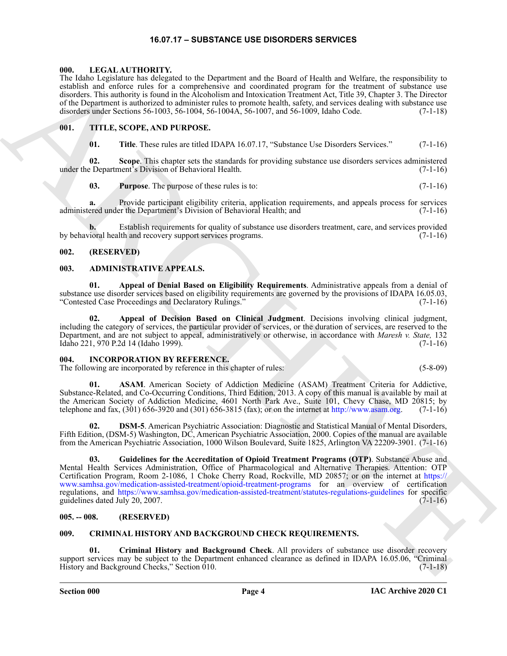#### **16.07.17 – SUBSTANCE USE DISORDERS SERVICES**

#### <span id="page-3-12"></span><span id="page-3-1"></span><span id="page-3-0"></span>**000. LEGAL AUTHORITY.**

The Idaho Legislature has delegated to the Department and the Board of Health and Welfare, the responsibility to establish and enforce rules for a comprehensive and coordinated program for the treatment of substance use disorders. This authority is found in the Alcoholism and Intoxication Treatment Act, Title 39, Chapter 3. The Director of the Department is authorized to administer rules to promote health, safety, and services dealing with substance use disorders under Sections 56-1003, 56-1004, 56-1004A, 56-1007, and 56-1009, Idaho Code. (7-1-18)

#### <span id="page-3-2"></span>**001. TITLE, SCOPE, AND PURPOSE.**

<span id="page-3-13"></span>**01. Title**. These rules are titled IDAPA 16.07.17, "Substance Use Disorders Services." (7-1-16)

**02. Scope**. This chapter sets the standards for providing substance use disorders services administered under the Department's Division of Behavioral Health. (7-1-16)

**03.** Purpose. The purpose of these rules is to:  $(7-1-16)$ 

**a.** Provide participant eligibility criteria, application requirements, and appeals process for services administered under the Department's Division of Behavioral Health; and (7-1-16)

**b.** Establish requirements for quality of substance use disorders treatment, care, and services provided by behavioral health and recovery support services programs. (7-1-16)

#### <span id="page-3-3"></span>**002. (RESERVED)**

#### <span id="page-3-8"></span><span id="page-3-4"></span>**003. ADMINISTRATIVE APPEALS.**

**01. Appeal of Denial Based on Eligibility Requirements**. Administrative appeals from a denial of substance use disorder services based on eligibility requirements are governed by the provisions of IDAPA 16.05.03, "Contested Case Proceedings and Declaratory Rulings." (7-1-16)

**02. Appeal of Decision Based on Clinical Judgment**. Decisions involving clinical judgment, including the category of services, the particular provider of services, or the duration of services, are reserved to the Department, and are not subject to appeal, administratively or otherwise, in accordance with *Maresh v. State,* 132 Idaho 221, 970 P.2d 14 (Idaho 1999). (7-1-16)

#### <span id="page-3-11"></span><span id="page-3-5"></span>**004. INCORPORATION BY REFERENCE.**

The following are incorporated by reference in this chapter of rules: (5-8-09)

**01. ASAM**. American Society of Addiction Medicine (ASAM) Treatment Criteria for Addictive, Substance-Related, and Co-Occurring Conditions, Third Edition, 2013. A copy of this manual is available by mail at the American Society of Addiction Medicine, 4601 North Park Ave., Suite 101, Chevy Chase, MD 20815; by telephone and fax, (301) 656-3920 and (301) 656-3815 (fax); or on the internet at http://www.asam.org.  $(7-1-16)$ 

**02. DSM-5**. American Psychiatric Association: Diagnostic and Statistical Manual of Mental Disorders, Fifth Edition, (DSM-5) Washington, DC, American Psychiatric Association, 2000. Copies of the manual are available from the American Psychiatric Association, 1000 Wilson Boulevard, Suite 1825, Arlington VA 22209-3901. (7-1-16)

The Molecular function of the Molecular material in the Molecular Mathematical Controller (Molecular Mathematical in the Molecular Mathematical Controller (Molecular Mathematical in the Molecular Controller (Molecular Mat **03. Guidelines for the Accreditation of Opioid Treatment Programs (OTP)**. Substance Abuse and Mental Health Services Administration, Office of Pharmacological and Alternative Therapies. Attention: OTP Certification Program, Room 2-1086, 1 Choke Cherry Road, Rockville, MD 20857; or on the internet at https:// www.samhsa.gov/medication-assisted-treatment/opioid-treatment-programs for an overview of certification regulations, and https://www.samhsa.gov/medication-assisted-treatment/statutes-regulations-guidelines for specific guidelines dated July 20, 2007. guidelines dated July  $20$ ,  $2007$ .

#### <span id="page-3-6"></span>**005. -- 008. (RESERVED)**

#### <span id="page-3-9"></span><span id="page-3-7"></span>**009. CRIMINAL HISTORY AND BACKGROUND CHECK REQUIREMENTS.**

<span id="page-3-10"></span>**01. Criminal History and Background Check**. All providers of substance use disorder recovery support services may be subject to the Department enhanced clearance as defined in IDAPA 16.05.06, "Criminal History and Background Checks," Section 010. (7-1-18) History and Background Checks," Section 010.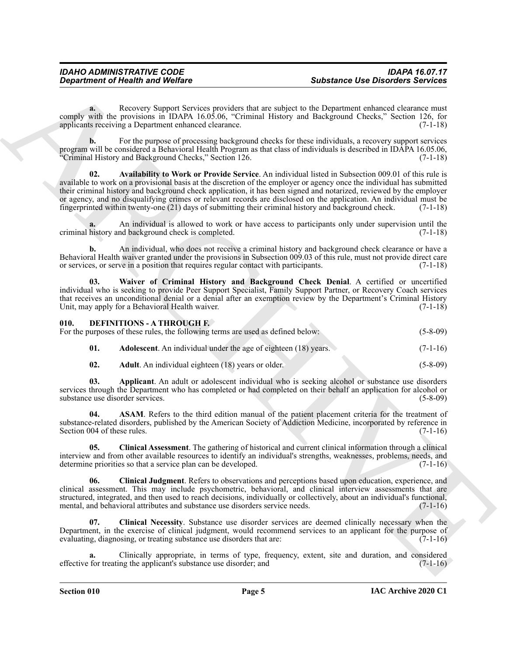**a.** Recovery Support Services providers that are subject to the Department enhanced clearance must comply with the provisions in IDAPA 16.05.06, "Criminal History and Background Checks," Section 126, for applicants receiving a Department enhanced clearance. applicants receiving a Department enhanced clearance.

<span id="page-4-1"></span>**b.** For the purpose of processing background checks for these individuals, a recovery support services program will be considered a Behavioral Health Program as that class of individuals is described in IDAPA 16.05.06, "Criminal History and Background Checks," Section 126. (7-1-18)

Superiorities of Health was Weilker<br>
Substitute the Chinacter Secretion Secretion Secretion Secretion Secretion Secretion Secretion Secretion Secretion Secretion Secretion Secretion Secretion Secretion Secretion Secretion **02. Availability to Work or Provide Service**. An individual listed in Subsection 009.01 of this rule is available to work on a provisional basis at the discretion of the employer or agency once the individual has submitted their criminal history and background check application, it has been signed and notarized, reviewed by the employer or agency, and no disqualifying crimes or relevant records are disclosed on the application. An individual must be fingerprinted within twenty-one (21) days of submitting their criminal history and background check. (7-1-18)

An individual is allowed to work or have access to participants only under supervision until the nd background check is completed. (7-1-18) criminal history and background check is completed.

**b.** An individual, who does not receive a criminal history and background check clearance or have a Behavioral Health waiver granted under the provisions in Subsection 009.03 of this rule, must not provide direct care or services, or serve in a position that requires regular contact with participants. (7-1-18)

<span id="page-4-2"></span>**03. Waiver of Criminal History and Background Check Denial**. A certified or uncertified individual who is seeking to provide Peer Support Specialist, Family Support Partner, or Recovery Coach services that receives an unconditional denial or a denial after an exemption review by the Department's Criminal History Unit, may apply for a Behavioral Health waiver. (7-1-18)

#### <span id="page-4-3"></span><span id="page-4-0"></span>**010. DEFINITIONS - A THROUGH F.**

For the purposes of these rules, the following terms are used as defined below: (5-8-09)

<span id="page-4-4"></span>

<span id="page-4-7"></span><span id="page-4-6"></span><span id="page-4-5"></span>**02.** Adult. An individual eighteen (18) years or older. (5-8-09)

**03. Applicant**. An adult or adolescent individual who is seeking alcohol or substance use disorders services through the Department who has completed or had completed on their behalf an application for alcohol or substance use disorder services. (5-8-09)

**04. ASAM**. Refers to the third edition manual of the patient placement criteria for the treatment of substance-related disorders, published by the American Society of Addiction Medicine, incorporated by reference in Section 004 of these rules.  $(7-1-16)$ 

<span id="page-4-8"></span>**05. Clinical Assessment**. The gathering of historical and current clinical information through a clinical interview and from other available resources to identify an individual's strengths, weaknesses, problems, needs, and determine priorities so that a service plan can be developed. (7-1-16)

<span id="page-4-9"></span>**06. Clinical Judgment**. Refers to observations and perceptions based upon education, experience, and clinical assessment. This may include psychometric, behavioral, and clinical interview assessments that are structured, integrated, and then used to reach decisions, individually or collectively, about an individual's functional, mental, and behavioral attributes and substance use disorders service needs. (7-1-16) mental, and behavioral attributes and substance use disorders service needs.

<span id="page-4-10"></span>**07. Clinical Necessity**. Substance use disorder services are deemed clinically necessary when the Department, in the exercise of clinical judgment, would recommend services to an applicant for the purpose of evaluating, diagnosing, or treating substance use disorders that are: (7-1-16)

**a.** Clinically appropriate, in terms of type, frequency, extent, site and duration, and considered effective for treating the applicant's substance use disorder; and (7-1-16)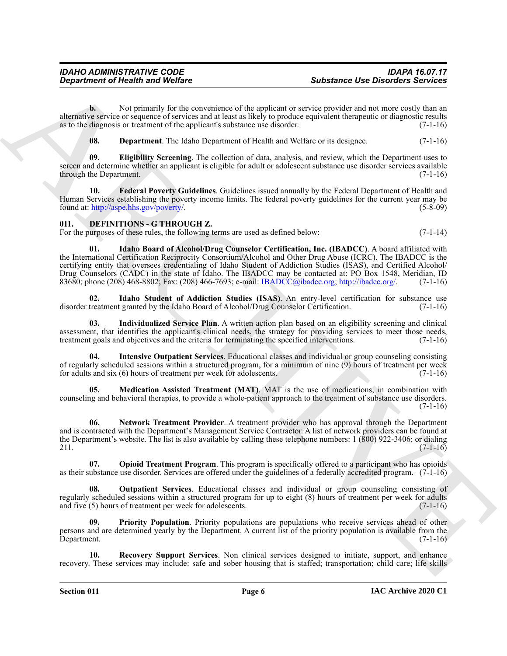**b.** Not primarily for the convenience of the applicant or service provider and not more costly than an alternative service or sequence of services and at least as likely to produce equivalent therapeutic or diagnostic results as to the diagnosis or treatment of the applicant's substance use disorder.  $(7-1-16)$ 

<span id="page-5-3"></span><span id="page-5-2"></span><span id="page-5-1"></span>**08. Department**. The Idaho Department of Health and Welfare or its designee. (7-1-16)

**09. Eligibility Screening**. The collection of data, analysis, and review, which the Department uses to screen and determine whether an applicant is eligible for adult or adolescent substance use disorder services available through the Department. (7-1-16)

**10. Federal Poverty Guidelines**. Guidelines issued annually by the Federal Department of Health and Human Services establishing the poverty income limits. The federal poverty guidelines for the current year may be found at: http://aspe.hhs.gov/poverty/. (5-8-09)

#### <span id="page-5-4"></span><span id="page-5-0"></span>**011. DEFINITIONS - G THROUGH Z.**

<span id="page-5-5"></span>For the purposes of these rules, the following terms are used as defined below: (7-1-14) (7-1-14)

Substance the Distribution of Nealth and Wolfare<br>
Notation of the substance of the substance of the substance of the substance of the substance of the substance of the substance of the substance of the substance of the su **01. Idaho Board of Alcohol/Drug Counselor Certification, Inc. (IBADCC)**. A board affiliated with the International Certification Reciprocity Consortium/Alcohol and Other Drug Abuse (ICRC). The IBADCC is the certifying entity that oversees credentialing of Idaho Student of Addiction Studies (ISAS), and Certified Alcohol/ Drug Counselors (CADC) in the state of Idaho. The IBADCC may be contacted at: PO Box 1548, Meridian, ID 83680; phone (208) 468-8802; Fax: (208) 466-7693; e-mail: IBADCC@ibadcc.org; http://ibadcc.org/. (7-1-16)

<span id="page-5-6"></span>**02. Idaho Student of Addiction Studies (ISAS)**. An entry-level certification for substance use disorder treatment granted by the Idaho Board of Alcohol/Drug Counselor Certification.

<span id="page-5-7"></span>**03. Individualized Service Plan**. A written action plan based on an eligibility screening and clinical assessment, that identifies the applicant's clinical needs, the strategy for providing services to meet those needs, treatment goals and objectives and the criteria for terminating the specified interventions. (7-1-16)

<span id="page-5-8"></span>**04. Intensive Outpatient Services**. Educational classes and individual or group counseling consisting of regularly scheduled sessions within a structured program, for a minimum of nine (9) hours of treatment per week for adults and six (6) hours of treatment per week for adolescents. (7-1-16)

<span id="page-5-9"></span>**05. Medication Assisted Treatment (MAT)**. MAT is the use of medications, in combination with counseling and behavioral therapies, to provide a whole-patient approach to the treatment of substance use disorders.  $(7-1-16)$ 

<span id="page-5-10"></span>**06. Network Treatment Provider**. A treatment provider who has approval through the Department and is contracted with the Department's Management Service Contractor. A list of network providers can be found at the Department's website. The list is also available by calling these telephone numbers: 1 (800) 922-3406; or dialing 211.  $(7-1-16)$ 

<span id="page-5-11"></span>**07. Opioid Treatment Program**. This program is specifically offered to a participant who has opioids as their substance use disorder. Services are offered under the guidelines of a federally accredited program. (7-1-16)

<span id="page-5-12"></span>**Outpatient Services**. Educational classes and individual or group counseling consisting of regularly scheduled sessions within a structured program for up to eight (8) hours of treatment per week for adults and five (5) hours of treatment per week for adolescents. (7-1-16) and five  $(5)$  hours of treatment per week for adolescents.

<span id="page-5-13"></span>**Priority Population**. Priority populations are populations who receive services ahead of other persons and are determined yearly by the Department. A current list of the priority population is available from the Department. (7-1-16)

<span id="page-5-14"></span>**10. Recovery Support Services**. Non clinical services designed to initiate, support, and enhance recovery. These services may include: safe and sober housing that is staffed; transportation; child care; life skills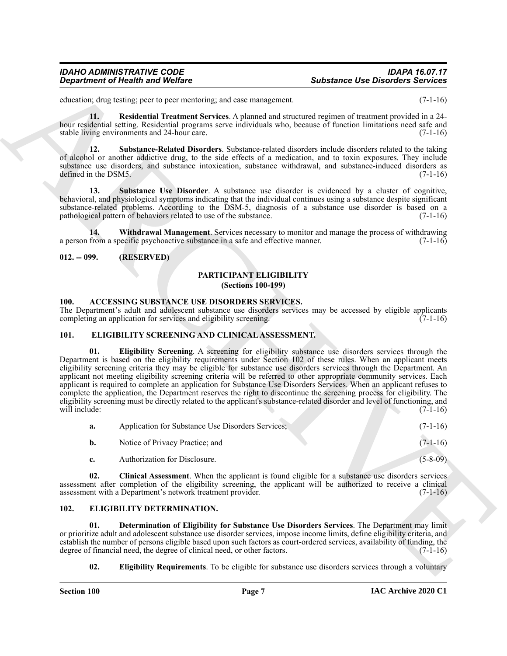# *Department of Health and Welfare*

# *IDAHO ADMINISTRATIVE CODE IDAPA 16.07.17*

education; drug testing; peer to peer mentoring; and case management. (7-1-16)

<span id="page-6-6"></span>**11. Residential Treatment Services**. A planned and structured regimen of treatment provided in a 24 hour residential setting. Residential programs serve individuals who, because of function limitations need safe and stable living environments and 24-hour care.

<span id="page-6-8"></span>**12. Substance-Related Disorders**. Substance-related disorders include disorders related to the taking of alcohol or another addictive drug, to the side effects of a medication, and to toxin exposures. They include substance use disorders, and substance intoxication, substance withdrawal, and substance-induced disorders as defined in the DSM5. (7-1-16)

<span id="page-6-7"></span>13. Substance Use Disorder. A substance use disorder is evidenced by a cluster of cognitive, behavioral, and physiological symptoms indicating that the individual continues using a substance despite significant substance-related problems. According to the DSM-5, diagnosis of a substance use disorder is based on a pathological pattern of behaviors related to use of the substance. (7-1-16)

<span id="page-6-9"></span>**14. Withdrawal Management**. Services necessary to monitor and manage the process of withdrawing a person from a specific psychoactive substance in a safe and effective manner.  $(7-1-16)$ 

#### <span id="page-6-1"></span><span id="page-6-0"></span>**012. -- 099. (RESERVED)**

#### <span id="page-6-16"></span>**PARTICIPANT ELIGIBILITY (Sections 100-199)**

#### <span id="page-6-5"></span><span id="page-6-2"></span>**100. ACCESSING SUBSTANCE USE DISORDERS SERVICES.**

The Department's adult and adolescent substance use disorders services may be accessed by eligible applicants completing an application for services and eligibility screening. (7-1-16) completing an application for services and eligibility screening.

#### <span id="page-6-15"></span><span id="page-6-13"></span><span id="page-6-3"></span>**101. ELIGIBILITY SCREENING AND CLINICAL ASSESSMENT.**

**Substance Ose Observes Substance Ose Observes Substance Ose Observes Substance Ose Observes Substance Substance Substance Substance Substance Substance Substance Substance Substance Substance Substance Substance Substanc 01. Eligibility Screening**. A screening for eligibility substance use disorders services through the Department is based on the eligibility requirements under Section 102 of these rules. When an applicant meets eligibility screening criteria they may be eligible for substance use disorders services through the Department. An applicant not meeting eligibility screening criteria will be referred to other appropriate community services. Each applicant is required to complete an application for Substance Use Disorders Services. When an applicant refuses to complete the application, the Department reserves the right to discontinue the screening process for eligibility. The eligibility screening must be directly related to the applicant's substance-related disorder and level of functioning, and will include: (7-1-16) will include:  $(7-1-16)$ 

<span id="page-6-14"></span>

| а. | Application for Substance Use Disorders Services; | $(7-1-16)$ |
|----|---------------------------------------------------|------------|
| b. | Notice of Privacy Practice; and                   | $(7-1-16)$ |
|    | Authorization for Disclosure.                     | $(5-8-09)$ |

**02. Clinical Assessment**. When the applicant is found eligible for a substance use disorders services assessment after completion of the eligibility screening, the applicant will be authorized to receive a clinical assessment with a Department's network treatment provider. (7-1-16) assessment with a Department's network treatment provider.

#### <span id="page-6-10"></span><span id="page-6-4"></span>**102. ELIGIBILITY DETERMINATION.**

**01. Determination of Eligibility for Substance Use Disorders Services**. The Department may limit or prioritize adult and adolescent substance use disorder services, impose income limits, define eligibility criteria, and establish the number of persons eligible based upon such factors as court-ordered services, availability of funding, the degree of financial need, the degree of clinical need, or other factors. (7-1-16) degree of financial need, the degree of clinical need, or other factors.

<span id="page-6-12"></span><span id="page-6-11"></span>**02. Eligibility Requirements**. To be eligible for substance use disorders services through a voluntary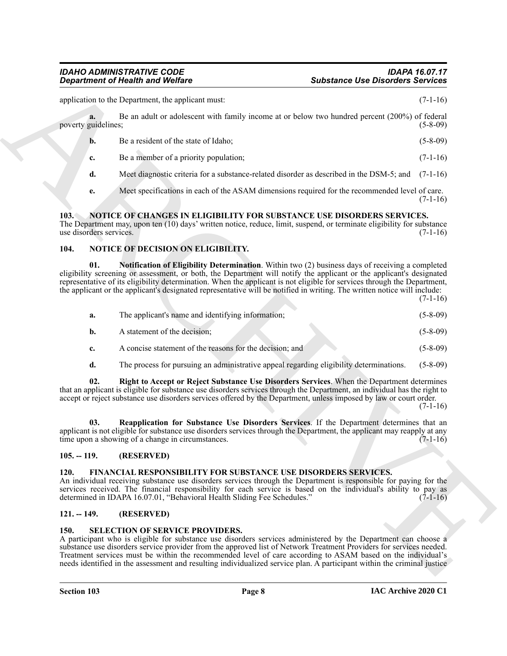# *Department of Health and Welfare*

|                     |  |  |  | Be an adult or adolescent with family income at or below two hundred percent (200%) of federal |  |            |
|---------------------|--|--|--|------------------------------------------------------------------------------------------------|--|------------|
| poverty guidelines; |  |  |  |                                                                                                |  | $(5-8-09)$ |
|                     |  |  |  |                                                                                                |  |            |

- **b.** Be a resident of the state of Idaho; (5-8-09)
- **c.** Be a member of a priority population; (7-1-16)
- **d.** Meet diagnostic criteria for a substance-related disorder as described in the DSM-5; and (7-1-16)
- <span id="page-7-7"></span>**e.** Meet specifications in each of the ASAM dimensions required for the recommended level of care.  $(7-1-16)$

### <span id="page-7-0"></span>**103. NOTICE OF CHANGES IN ELIGIBILITY FOR SUBSTANCE USE DISORDERS SERVICES.**

### <span id="page-7-9"></span><span id="page-7-8"></span><span id="page-7-1"></span>**104. NOTICE OF DECISION ON ELIGIBILITY.**

| a.<br>poverty guidelines;       | application to the Department, the applicant must:                                                                                                                                                                                                                                                                                                                                                                                                                                      | $(7-1-16)$ |
|---------------------------------|-----------------------------------------------------------------------------------------------------------------------------------------------------------------------------------------------------------------------------------------------------------------------------------------------------------------------------------------------------------------------------------------------------------------------------------------------------------------------------------------|------------|
|                                 |                                                                                                                                                                                                                                                                                                                                                                                                                                                                                         |            |
|                                 | Be an adult or adolescent with family income at or below two hundred percent (200%) of federal                                                                                                                                                                                                                                                                                                                                                                                          | $(5-8-09)$ |
| $\mathbf{b}$ .                  | Be a resident of the state of Idaho;                                                                                                                                                                                                                                                                                                                                                                                                                                                    | $(5-8-09)$ |
| c.                              | Be a member of a priority population;                                                                                                                                                                                                                                                                                                                                                                                                                                                   | $(7-1-16)$ |
| d.                              | Meet diagnostic criteria for a substance-related disorder as described in the DSM-5; and                                                                                                                                                                                                                                                                                                                                                                                                | $(7-1-16)$ |
| e.                              | Meet specifications in each of the ASAM dimensions required for the recommended level of care.                                                                                                                                                                                                                                                                                                                                                                                          | $(7-1-16)$ |
| 103.<br>use disorders services. | NOTICE OF CHANGES IN ELIGIBILITY FOR SUBSTANCE USE DISORDERS SERVICES.<br>The Department may, upon ten (10) days' written notice, reduce, limit, suspend, or terminate eligibility for substance                                                                                                                                                                                                                                                                                        | $(7-1-16)$ |
| 104.                            | <b>NOTICE OF DECISION ON ELIGIBILITY.</b>                                                                                                                                                                                                                                                                                                                                                                                                                                               |            |
| 01.                             | <b>Notification of Eligibility Determination.</b> Within two (2) business days of receiving a completed<br>eligibility screening or assessment, or both, the Department will notify the applicant or the applicant's designated<br>representative of its eligibility determination. When the applicant is not eligible for services through the Department,<br>the applicant or the applicant's designated representative will be notified in writing. The written notice will include: | $(7-1-16)$ |
| a.                              | The applicant's name and identifying information;                                                                                                                                                                                                                                                                                                                                                                                                                                       | $(5-8-09)$ |
| b.                              | A statement of the decision;                                                                                                                                                                                                                                                                                                                                                                                                                                                            | $(5-8-09)$ |
| c.                              | A concise statement of the reasons for the decision; and                                                                                                                                                                                                                                                                                                                                                                                                                                | $(5-8-09)$ |
| d.                              | The process for pursuing an administrative appeal regarding eligibility determinations.                                                                                                                                                                                                                                                                                                                                                                                                 | $(5-8-09)$ |
| 02.                             | Right to Accept or Reject Substance Use Disorders Services. When the Department determines<br>that an applicant is eligible for substance use disorders services through the Department, an individual has the right to<br>accept or reject substance use disorders services offered by the Department, unless imposed by law or court order.                                                                                                                                           | $(7-1-16)$ |
| 03.                             | Reapplication for Substance Use Disorders Services. If the Department determines that an<br>applicant is not eligible for substance use disorders services through the Department, the applicant may reapply at any<br>time upon a showing of a change in circumstances.                                                                                                                                                                                                                | $(7-1-16)$ |
| $105. - 119.$                   | (RESERVED)                                                                                                                                                                                                                                                                                                                                                                                                                                                                              |            |
| 120.                            | FINANCIAL RESPONSIBILITY FOR SUBSTANCE USE DISORDERS SERVICES.<br>An individual receiving substance use disorders services through the Department is responsible for paying for the<br>services received. The financial responsibility for each service is based on the individual's ability to pay as<br>determined in IDAPA 16.07.01, "Behavioral Health Sliding Fee Schedules."                                                                                                      | $(7-1-16)$ |
| $121. - 149.$                   | (RESERVED)                                                                                                                                                                                                                                                                                                                                                                                                                                                                              |            |
| 150.                            | <b>SELECTION OF SERVICE PROVIDERS.</b><br>A participant who is eligible for substance use disorders services administered by the Department can choose a<br>substance use disorders service provider from the approved list of Network Treatment Providers for services needed.                                                                                                                                                                                                         |            |

# <span id="page-7-11"></span><span id="page-7-10"></span><span id="page-7-2"></span>**105. -- 119. (RESERVED)**

# <span id="page-7-6"></span><span id="page-7-3"></span>**120. FINANCIAL RESPONSIBILITY FOR SUBSTANCE USE DISORDERS SERVICES.**

# <span id="page-7-4"></span>**121. -- 149. (RESERVED)**

# <span id="page-7-12"></span><span id="page-7-5"></span>**150. SELECTION OF SERVICE PROVIDERS.**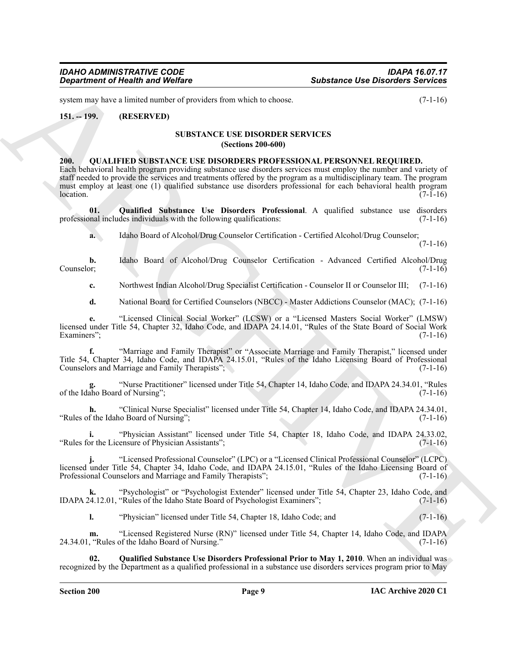system may have a limited number of providers from which to choose. (7-1-16)

### <span id="page-8-1"></span><span id="page-8-0"></span>**151. -- 199. (RESERVED)**

#### <span id="page-8-6"></span>**SUBSTANCE USE DISORDER SERVICES (Sections 200-600)**

#### <span id="page-8-3"></span><span id="page-8-2"></span>**200. QUALIFIED SUBSTANCE USE DISORDERS PROFESSIONAL PERSONNEL REQUIRED.**

**Statement of Nearly was Wolfrey**<br>
Statement Ose Distribution Services<br>
The statement of Nearly Wolfrey<br>
The statement of New York 2000 and the statement of New York 2000 and the Statement of New York 2000<br>
The CHAIN HOW Each behavioral health program providing substance use disorders services must employ the number and variety of staff needed to provide the services and treatments offered by the program as a multidisciplinary team. The program must employ at least one (1) qualified substance use disorders professional for each behavioral health program  $\sqrt{7-1-16}$ 

**01. Qualified Substance Use Disorders Professional**. A qualified substance use disorders professional includes individuals with the following qualifications:

<span id="page-8-4"></span>**a.** Idaho Board of Alcohol/Drug Counselor Certification - Certified Alcohol/Drug Counselor;

 $(7-1-16)$ 

**b.** Idaho Board of Alcohol/Drug Counselor Certification - Advanced Certified Alcohol/Drug Counselor; (7-1-16) Counselor; (7-1-16)

**c.** Northwest Indian Alcohol/Drug Specialist Certification - Counselor II or Counselor III; (7-1-16)

**d.** National Board for Certified Counselors (NBCC) - Master Addictions Counselor (MAC); (7-1-16)

**e.** "Licensed Clinical Social Worker" (LCSW) or a "Licensed Masters Social Worker" (LMSW) licensed under Title 54, Chapter 32, Idaho Code, and IDAPA 24.14.01, "Rules of the State Board of Social Work Examiners"; (7-1-16)

**f.** "Marriage and Family Therapist" or "Associate Marriage and Family Therapist," licensed under Title 54, Chapter 34, Idaho Code, and IDAPA 24.15.01, "Rules of the Idaho Licensing Board of Professional Counselors and Marriage and Family Therapists";

**g.** "Nurse Practitioner" licensed under Title 54, Chapter 14, Idaho Code, and IDAPA 24.34.01, "Rules of the Idaho Board of Nursing"; (7-1-16)

**h.** "Clinical Nurse Specialist" licensed under Title 54, Chapter 14, Idaho Code, and IDAPA 24.34.01, f the Idaho Board of Nursing"; (7-1-16) "Rules of the Idaho Board of Nursing";

**i.** "Physician Assistant" licensed under Title 54, Chapter 18, Idaho Code, and IDAPA 24.33.02, "Rules for the Licensure of Physician Assistants"; (7-1-16)

**j.** "Licensed Professional Counselor" (LPC) or a "Licensed Clinical Professional Counselor" (LCPC) j. "Licensed Professional Counselor" (LPC) or a "Licensed United Professional Counselor" (LCTC) licensed under Title 54, Chapter 34, Idaho Code, and IDAPA 24.15.01, "Rules of the Idaho Licensing Board of Professional Couns Professional Counselors and Marriage and Family Therapists";

**k.** "Psychologist" or "Psychologist Extender" licensed under Title 54, Chapter 23, Idaho Code, and 24.12.01, "Rules of the Idaho State Board of Psychologist Examiners"; (7-1-16) IDAPA 24.12.01, "Rules of the Idaho State Board of Psychologist Examiners";

<span id="page-8-5"></span>**l.** "Physician" licensed under Title 54, Chapter 18, Idaho Code; and (7-1-16)

**m.** "Licensed Registered Nurse (RN)" licensed under Title 54, Chapter 14, Idaho Code, and IDAPA<br>
"Rules of the Idaho Board of Nursing." (7-1-16) 24.34.01, "Rules of the Idaho Board of Nursing."

**02. Qualified Substance Use Disorders Professional Prior to May 1, 2010**. When an individual was recognized by the Department as a qualified professional in a substance use disorders services program prior to May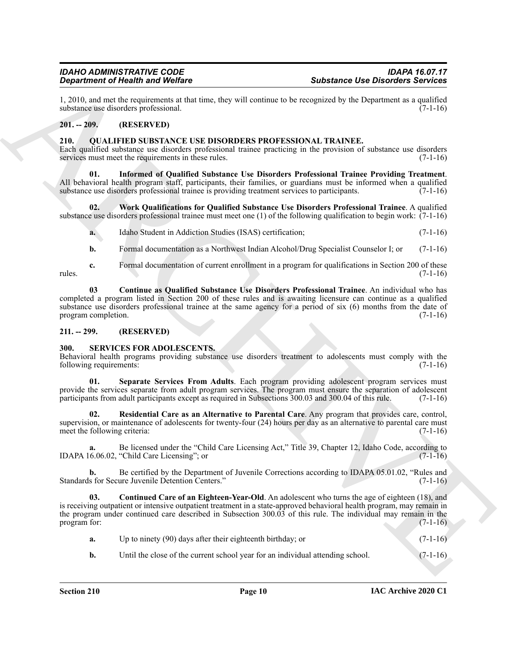1, 2010, and met the requirements at that time, they will continue to be recognized by the Department as a qualified substance use disorders professional.

#### <span id="page-9-0"></span>**201. -- 209. (RESERVED)**

#### <span id="page-9-4"></span><span id="page-9-1"></span>**210. QUALIFIED SUBSTANCE USE DISORDERS PROFESSIONAL TRAINEE.**

Each qualified substance use disorders professional trainee practicing in the provision of substance use disorders services must meet the requirements in these rules. (7-1-16)

<span id="page-9-6"></span>**01. Informed of Qualified Substance Use Disorders Professional Trainee Providing Treatment**. All behavioral health program staff, participants, their families, or guardians must be informed when a qualified substance use disorders professional trainee is providing treatment services to participants.  $(7-1-16)$ 

**02. Work Qualifications for Qualified Substance Use Disorders Professional Trainee**. A qualified substance use disorders professional trainee must meet one (1) of the following qualification to begin work: (7-1-16)

<span id="page-9-7"></span>**a.** Idaho Student in Addiction Studies (ISAS) certification; (7-1-16)

<span id="page-9-5"></span>**b.** Formal documentation as a Northwest Indian Alcohol/Drug Specialist Counselor I; or (7-1-16)

**c.** Formal documentation of current enrollment in a program for qualifications in Section 200 of these (7-1-16) rules. (7-1-16)

**03 Continue as Qualified Substance Use Disorders Professional Trainee**. An individual who has completed a program listed in Section 200 of these rules and is awaiting licensure can continue as a qualified substance use disorders professional trainee at the same agency for a period of six (6) months from the date of program completion. (7-1-16)

#### <span id="page-9-2"></span>**211. -- 299. (RESERVED)**

#### <span id="page-9-8"></span><span id="page-9-3"></span>**300. SERVICES FOR ADOLESCENTS.**

Behavioral health programs providing substance use disorders treatment to adolescents must comply with the following requirements: (7-1-16)

<span id="page-9-11"></span>**01. Separate Services From Adults**. Each program providing adolescent program services must provide the services separate from adult program services. The program must ensure the separation of adolescent participants from adult participants except as required in Subsections 300.03 and 300.04 of this rule. (7-1-16)

<span id="page-9-10"></span>**02. Residential Care as an Alternative to Parental Care**. Any program that provides care, control, supervision, or maintenance of adolescents for twenty-four (24) hours per day as an alternative to parental care must<br>(7-1-16) meet the following criteria:

Be licensed under the "Child Care Licensing Act," Title 39, Chapter 12, Idaho Code, according to "Child Care Licensing"; or (7-1-16) IDAPA 16.06.02, "Child Care Licensing"; or

**b.** Be certified by the Department of Juvenile Corrections according to IDAPA 05.01.02, "Rules and s for Secure Juvenile Detention Centers." (7-1-16) Standards for Secure Juvenile Detention Centers."

Substitute of Real Minimized with the same state and the technique state and the same state of the same state and the same state and the same state and the same state and the same state and the same state of the same stat **03. Continued Care of an Eighteen-Year-Old**. An adolescent who turns the age of eighteen (18), and is receiving outpatient or intensive outpatient treatment in a state-approved behavioral health program, may remain in the program under continued care described in Subsection 300.03 of this rule. The individual may remain in the program for:  $(7-1-16)$ 

<span id="page-9-9"></span>

| a. | Up to ninety (90) days after their eighteenth birthday; or |  | $(7-1-16)$ |
|----|------------------------------------------------------------|--|------------|
|----|------------------------------------------------------------|--|------------|

**b.** Until the close of the current school year for an individual attending school. (7-1-16)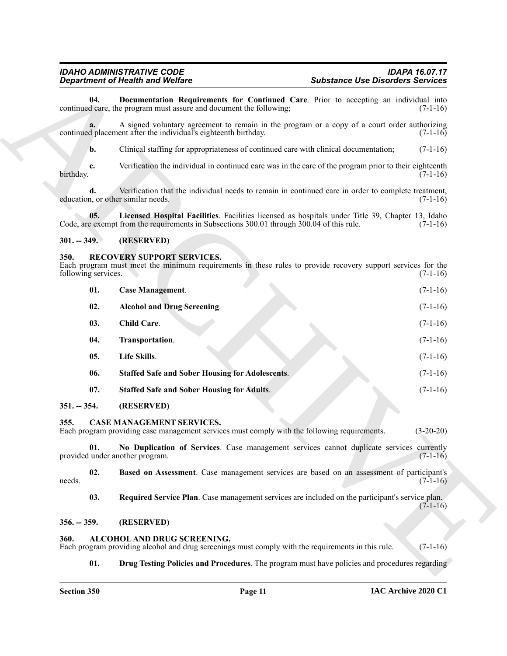#### <span id="page-10-21"></span><span id="page-10-0"></span>**301. -- 349. (RESERVED)**

#### <span id="page-10-19"></span><span id="page-10-18"></span><span id="page-10-17"></span><span id="page-10-16"></span><span id="page-10-15"></span><span id="page-10-14"></span><span id="page-10-13"></span><span id="page-10-12"></span><span id="page-10-1"></span>**350. RECOVERY SUPPORT SERVICES.**

<span id="page-10-20"></span>

|                             | <b>Department of Health and Welfare</b>                                                                                                                                                       | <b>Substance Use Disorders Services</b> |  |  |
|-----------------------------|-----------------------------------------------------------------------------------------------------------------------------------------------------------------------------------------------|-----------------------------------------|--|--|
| 04.                         | Documentation Requirements for Continued Care. Prior to accepting an individual into<br>continued care, the program must assure and document the following;                                   | $(7-1-16)$                              |  |  |
|                             | A signed voluntary agreement to remain in the program or a copy of a court order authorizing<br>continued placement after the individual's eighteenth birthday.                               | $(7-1-16)$                              |  |  |
| b.                          | Clinical staffing for appropriateness of continued care with clinical documentation;                                                                                                          | $(7-1-16)$                              |  |  |
| c.<br>birthday.             | Verification the individual in continued care was in the care of the program prior to their eighteenth                                                                                        | $(7-1-16)$                              |  |  |
| d.                          | Verification that the individual needs to remain in continued care in order to complete treatment,<br>education, or other similar needs.                                                      | $(7-1-16)$                              |  |  |
| 05.                         | Licensed Hospital Facilities. Facilities licensed as hospitals under Title 39, Chapter 13, Idaho<br>Code, are exempt from the requirements in Subsections 300.01 through 300.04 of this rule. | $(7-1-16)$                              |  |  |
| $301. - 349.$               | (RESERVED)                                                                                                                                                                                    |                                         |  |  |
| 350.<br>following services. | RECOVERY SUPPORT SERVICES.<br>Each program must meet the minimum requirements in these rules to provide recovery support services for the                                                     | $(7-1-16)$                              |  |  |
| 01.                         | <b>Case Management.</b>                                                                                                                                                                       | $(7-1-16)$                              |  |  |
| 02.                         | <b>Alcohol and Drug Screening.</b>                                                                                                                                                            | $(7-1-16)$                              |  |  |
| 03.                         | <b>Child Care.</b>                                                                                                                                                                            | $(7-1-16)$                              |  |  |
| 04.                         | Transportation.                                                                                                                                                                               | $(7-1-16)$                              |  |  |
| 05.                         | Life Skills.                                                                                                                                                                                  | $(7-1-16)$                              |  |  |
| 06.                         | <b>Staffed Safe and Sober Housing for Adolescents.</b>                                                                                                                                        | $(7-1-16)$                              |  |  |
| 07.                         | <b>Staffed Safe and Sober Housing for Adults.</b>                                                                                                                                             | $(7-1-16)$                              |  |  |
| $351. - 354.$               | (RESERVED)                                                                                                                                                                                    |                                         |  |  |
| 355.                        | CASE MANAGEMENT SERVICES.<br>Each program providing case management services must comply with the following requirements.                                                                     | $(3-20-20)$                             |  |  |
| 01.                         | No Duplication of Services. Case management services cannot duplicate services currently<br>provided under another program.                                                                   | $(7-1-16)$                              |  |  |
| 02.<br>needs.               | Based on Assessment. Case management services are based on an assessment of participant's                                                                                                     | $(7-1-16)$                              |  |  |
| 03.                         | Required Service Plan. Case management services are included on the participant's service plan.                                                                                               | $(7-1-16)$                              |  |  |
| $356. - 359.$               | (RESERVED)                                                                                                                                                                                    |                                         |  |  |
| 360.                        | ALCOHOL AND DRUG SCREENING.<br>Each program providing alcohol and drug screenings must comply with the requirements in this rule.                                                             | $(7-1-16)$                              |  |  |
| 01.                         | <b>Drug Testing Policies and Procedures</b> . The program must have policies and procedures regarding                                                                                         |                                         |  |  |

#### <span id="page-10-11"></span><span id="page-10-10"></span><span id="page-10-9"></span><span id="page-10-8"></span><span id="page-10-4"></span><span id="page-10-3"></span><span id="page-10-2"></span>**356. -- 359. (RESERVED)**

#### <span id="page-10-7"></span><span id="page-10-6"></span><span id="page-10-5"></span>**360. ALCOHOL AND DRUG SCREENING.**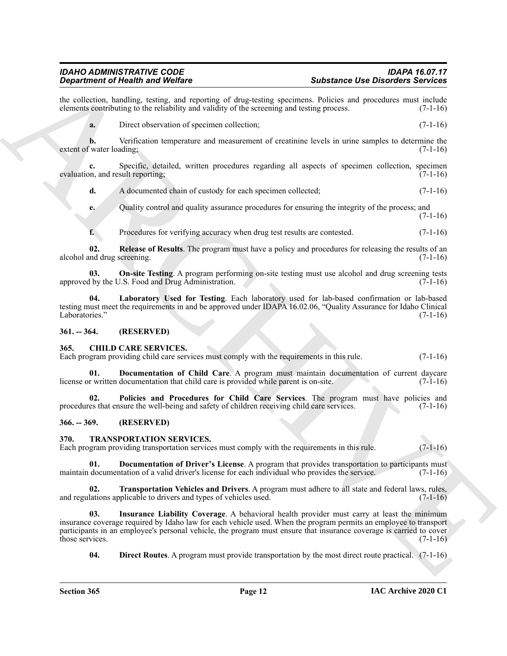the collection, handling, testing, and reporting of drug-testing specimens. Policies and procedures must include elements contributing to the reliability and validity of the screening and testing process. (7-1-16) elements contributing to the reliability and validity of the screening and testing process.

**a.** Direct observation of specimen collection: (7-1-16)

**b.** Verification temperature and measurement of creatinine levels in urine samples to determine the value (7-1-16) extent of water loading;

**c.** Specific, detailed, written procedures regarding all aspects of specimen collection, specimen evaluation, and result reporting; (7-1-16)

**d.** A documented chain of custody for each specimen collected;  $(7-1-16)$ 

**e.** Quality control and quality assurance procedures for ensuring the integrity of the process; and (7-1-16)

<span id="page-11-6"></span><span id="page-11-5"></span>**f.** Procedures for verifying accuracy when drug test results are contested. (7-1-16)

**02. Release of Results**. The program must have a policy and procedures for releasing the results of an alcohol and drug screening. (7-1-16)

**03. On-site Testing**. A program performing on-site testing must use alcohol and drug screening tests approved by the U.S. Food and Drug Administration.  $(7-1-16)$ 

<span id="page-11-4"></span>**04. Laboratory Used for Testing**. Each laboratory used for lab-based confirmation or lab-based testing must meet the requirements in and be approved under IDAPA 16.02.06, "Quality Assurance for Idaho Clinical Laboratories." (7-1-16)

<span id="page-11-0"></span>**361. -- 364. (RESERVED)**

#### <span id="page-11-7"></span><span id="page-11-1"></span>**365. CHILD CARE SERVICES.**

Each program providing child care services must comply with the requirements in this rule. (7-1-16)

<span id="page-11-8"></span>**01. Documentation of Child Care**. A program must maintain documentation of current daycare r written documentation that child care is provided while parent is on-site. (7-1-16) license or written documentation that child care is provided while parent is on-site.

<span id="page-11-9"></span>**02. Policies and Procedures for Child Care Services**. The program must have policies and procedures that ensure the well-being and safety of children receiving child care services. (7-1-16)

#### <span id="page-11-2"></span>**366. -- 369. (RESERVED)**

#### <span id="page-11-10"></span><span id="page-11-3"></span>**370. TRANSPORTATION SERVICES.**

Each program providing transportation services must comply with the requirements in this rule. (7-1-16)

<span id="page-11-12"></span>**01. Documentation of Driver's License**. A program that provides transportation to participants must documentation of a valid driver's license for each individual who provides the service. (7-1-16) maintain documentation of a valid driver's license for each individual who provides the service.

<span id="page-11-14"></span>**02. Transportation Vehicles and Drivers**. A program must adhere to all state and federal laws, rules, and regulations applicable to drivers and types of vehicles used. (7-1-16)

**Singularized Friedrich and Weiler,** and Weiler China and Singularized School and Singularized School and Singularized School and Singularized School and Singularized School and Singularized School and Singularized School **03. Insurance Liability Coverage**. A behavioral health provider must carry at least the minimum insurance coverage required by Idaho law for each vehicle used. When the program permits an employee to transport participants in an employee's personal vehicle, the program must ensure that insurance coverage is carried to cover those services.  $(7-1-16)$ 

<span id="page-11-13"></span><span id="page-11-11"></span>**04. Direct Routes**. A program must provide transportation by the most direct route practical. (7-1-16)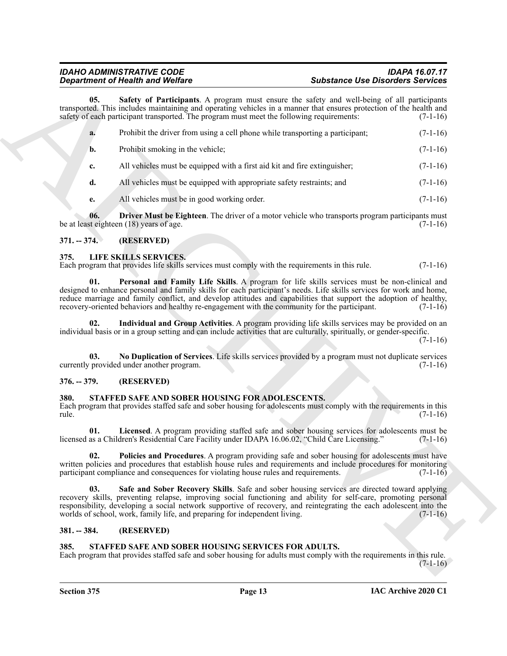# <span id="page-12-16"></span>*Department of Health and Welfare*

|               | <b>Department of Health and Welfare</b>                                                                                                                                                                                                                                                                                                                                                                                                    | <b>Substance Use Disorders Services</b> |            |
|---------------|--------------------------------------------------------------------------------------------------------------------------------------------------------------------------------------------------------------------------------------------------------------------------------------------------------------------------------------------------------------------------------------------------------------------------------------------|-----------------------------------------|------------|
| 05.           | Safety of Participants. A program must ensure the safety and well-being of all participants<br>transported. This includes maintaining and operating vehicles in a manner that ensures protection of the health and<br>safety of each participant transported. The program must meet the following requirements:                                                                                                                            |                                         | $(7-1-16)$ |
| a.            | Prohibit the driver from using a cell phone while transporting a participant;                                                                                                                                                                                                                                                                                                                                                              |                                         | $(7-1-16)$ |
| b.            | Prohibit smoking in the vehicle;                                                                                                                                                                                                                                                                                                                                                                                                           |                                         | $(7-1-16)$ |
| c.            | All vehicles must be equipped with a first aid kit and fire extinguisher;                                                                                                                                                                                                                                                                                                                                                                  |                                         | $(7-1-16)$ |
| d.            | All vehicles must be equipped with appropriate safety restraints; and                                                                                                                                                                                                                                                                                                                                                                      |                                         | $(7-1-16)$ |
| e.            | All vehicles must be in good working order.                                                                                                                                                                                                                                                                                                                                                                                                |                                         | $(7-1-16)$ |
| 06.           | Driver Must be Eighteen. The driver of a motor vehicle who transports program participants must<br>be at least eighteen (18) years of age.                                                                                                                                                                                                                                                                                                 |                                         | $(7-1-16)$ |
| $371. - 374.$ | (RESERVED)                                                                                                                                                                                                                                                                                                                                                                                                                                 |                                         |            |
| 375.          | LIFE SKILLS SERVICES.<br>Each program that provides life skills services must comply with the requirements in this rule.                                                                                                                                                                                                                                                                                                                   |                                         | $(7-1-16)$ |
| 01.           | Personal and Family Life Skills. A program for life skills services must be non-clinical and<br>designed to enhance personal and family skills for each participant's needs. Life skills services for work and home,<br>reduce marriage and family conflict, and develop attitudes and capabilities that support the adoption of healthy,<br>recovery-oriented behaviors and healthy re-engagement with the community for the participant. |                                         | $(7-1-16)$ |
| 02.           | Individual and Group Activities. A program providing life skills services may be provided on an<br>individual basis or in a group setting and can include activities that are culturally, spiritually, or gender-specific.                                                                                                                                                                                                                 |                                         | $(7-1-16)$ |
| 03.           | No Duplication of Services. Life skills services provided by a program must not duplicate services<br>currently provided under another program.                                                                                                                                                                                                                                                                                            |                                         | $(7-1-16)$ |
| $376. - 379.$ | (RESERVED)                                                                                                                                                                                                                                                                                                                                                                                                                                 |                                         |            |
| 380.<br>rule. | STAFFED SAFE AND SOBER HOUSING FOR ADOLESCENTS.<br>Each program that provides staffed safe and sober housing for adolescents must comply with the requirements in this                                                                                                                                                                                                                                                                     |                                         | $(7-1-16)$ |
| 01.           | Licensed. A program providing staffed safe and sober housing services for adolescents must be<br>licensed as a Children's Residential Care Facility under IDAPA 16.06.02, "Child Care Licensing."                                                                                                                                                                                                                                          |                                         | $(7-1-16)$ |
| 02.           | Policies and Procedures. A program providing safe and sober housing for adolescents must have<br>written policies and procedures that establish house rules and requirements and include procedures for monitoring<br>participant compliance and consequences for violating house rules and requirements.                                                                                                                                  |                                         | $(7-1-16)$ |
| 03.           | Safe and Sober Recovery Skills. Safe and sober housing services are directed toward applying<br>recovery skills, preventing relapse, improving social functioning and ability for self-care, promoting personal<br>responsibility, developing a social network supportive of recovery, and reintegrating the each adolescent into the<br>worlds of school, work, family life, and preparing for independent living.                        |                                         | $(7-1-16)$ |
| $381. - 384.$ | (RESERVED)                                                                                                                                                                                                                                                                                                                                                                                                                                 |                                         |            |
| 385.          | STAFFED SAFE AND SOBER HOUSING SERVICES FOR ADULTS.<br>Each program that provides staffed safe and sober housing for adults must comply with the requirements in this rule.                                                                                                                                                                                                                                                                |                                         | $(7-1-16)$ |
|               |                                                                                                                                                                                                                                                                                                                                                                                                                                            |                                         |            |

### <span id="page-12-15"></span><span id="page-12-0"></span>**371. -- 374. (RESERVED)**

#### <span id="page-12-9"></span><span id="page-12-7"></span><span id="page-12-6"></span><span id="page-12-1"></span>**375. LIFE SKILLS SERVICES.**

#### <span id="page-12-8"></span><span id="page-12-2"></span>**376. -- 379. (RESERVED)**

#### <span id="page-12-12"></span><span id="page-12-11"></span><span id="page-12-10"></span><span id="page-12-3"></span>**380. STAFFED SAFE AND SOBER HOUSING FOR ADOLESCENTS.**

#### <span id="page-12-13"></span><span id="page-12-4"></span>**381. -- 384. (RESERVED)**

#### <span id="page-12-14"></span><span id="page-12-5"></span>**385. STAFFED SAFE AND SOBER HOUSING SERVICES FOR ADULTS.**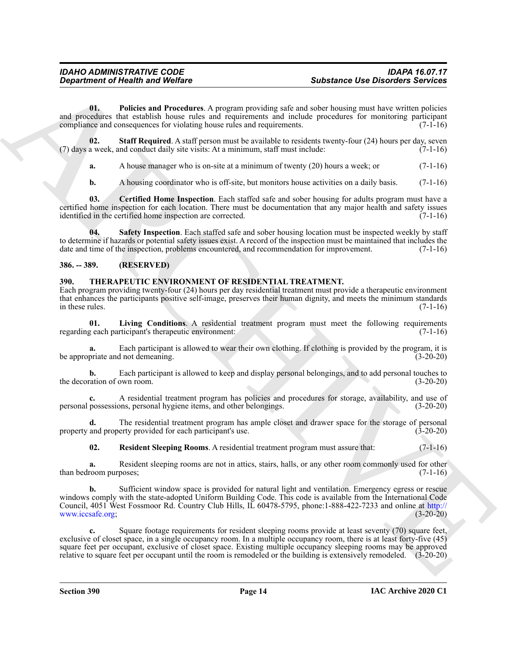<span id="page-13-3"></span>**01. Policies and Procedures**. A program providing safe and sober housing must have written policies and procedures that establish house rules and requirements and include procedures for monitoring participant compliance and consequences for violating house rules and requirements. (7-1-16) compliance and consequences for violating house rules and requirements.

**02.** Staff Required. A staff person must be available to residents twenty-four (24) hours per day, seven a week, and conduct daily site visits: At a minimum, staff must include: (7-1-16) (7) days a week, and conduct daily site visits: At a minimum, staff must include:

<span id="page-13-5"></span>**a.** A house manager who is on-site at a minimum of twenty (20) hours a week; or (7-1-16)

<span id="page-13-4"></span><span id="page-13-2"></span>**b.** A housing coordinator who is off-site, but monitors house activities on a daily basis. (7-1-16)

**03. Certified Home Inspection**. Each staffed safe and sober housing for adults program must have a certified home inspection for each location. There must be documentation that any major health and safety issues identified in the certified home inspection are corrected. (7-1-16)

**04. Safety Inspection**. Each staffed safe and sober housing location must be inspected weekly by staff to determine if hazards or potential safety issues exist. A record of the inspection must be maintained that includes the date and time of the inspection, problems encountered, and recommendation for improvement. (7-1-16)

#### <span id="page-13-0"></span>**386. -- 389. (RESERVED)**

#### <span id="page-13-6"></span><span id="page-13-1"></span>**390. THERAPEUTIC ENVIRONMENT OF RESIDENTIAL TREATMENT.**

Each program providing twenty-four (24) hours per day residential treatment must provide a therapeutic environment that enhances the participants positive self-image, preserves their human dignity, and meets the minimum standards in these rules.  $(7-1-16)$ 

<span id="page-13-7"></span>**01.** Living Conditions. A residential treatment program must meet the following requirements geach participant's therapeutic environment: (7-1-16) regarding each participant's therapeutic environment:

Each participant is allowed to wear their own clothing. If clothing is provided by the program, it is be appropriate and not demeaning. (3-20-20)

**b.** Each participant is allowed to keep and display personal belongings, and to add personal touches to ration of own room. (3-20-20) the decoration of own room.

**c.** A residential treatment program has policies and procedures for storage, availability, and use of personal possessions, personal hygiene items, and other belongings. (3-20-20)

**d.** The residential treatment program has ample closet and drawer space for the storage of personal and property provided for each participant's use. (3-20-20) property and property provided for each participant's use.

<span id="page-13-8"></span>**02. Resident Sleeping Rooms**. A residential treatment program must assure that: (7-1-16)

**a.** Resident sleeping rooms are not in attics, stairs, halls, or any other room commonly used for other room purposes:  $(7-1-16)$ than bedroom purposes;

**Superframe of Finding in Wolfare<br>
3.** Substitute University of the same of the same of the same of the same of the same of the same of the same of the same of the same of the same of the same of the same of the same of t **b.** Sufficient window space is provided for natural light and ventilation. Emergency egress or rescue windows comply with the state-adopted Uniform Building Code. This code is available from the International Code Council, 4051 West Fossmoor Rd. Country Club Hills, IL 60478-5795, phone:1-888-422-7233 and online at http:// www.iccsafe.org; (3-20-20)

**c.** Square footage requirements for resident sleeping rooms provide at least seventy (70) square feet, exclusive of closet space, in a single occupancy room. In a multiple occupancy room, there is at least forty-five (45) square feet per occupant, exclusive of closet space. Existing multiple occupancy sleeping rooms may be approved relative to square feet per occupant until the room is remodeled or the building is extensively remodeled. (3-20-20)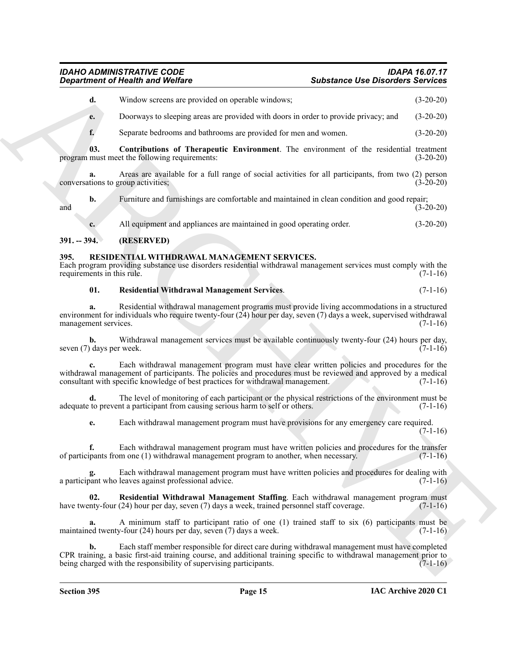## <span id="page-14-5"></span>*IDAHO ADMINISTRATIVE CODE IDAPA 16.07.17 Department of Health and Welfare Substance Use Disorders Services*

|                                    | <b>Department of Health and Welfare</b>                                                                                                                                                                                                                                                        | <b>Substance Use Disorders Services</b> |             |
|------------------------------------|------------------------------------------------------------------------------------------------------------------------------------------------------------------------------------------------------------------------------------------------------------------------------------------------|-----------------------------------------|-------------|
| d.                                 | Window screens are provided on operable windows;                                                                                                                                                                                                                                               |                                         | $(3-20-20)$ |
| e.                                 | Doorways to sleeping areas are provided with doors in order to provide privacy; and                                                                                                                                                                                                            |                                         | $(3-20-20)$ |
| f.                                 | Separate bedrooms and bathrooms are provided for men and women.                                                                                                                                                                                                                                |                                         | $(3-20-20)$ |
| 03.                                | Contributions of Therapeutic Environment. The environment of the residential treatment<br>program must meet the following requirements:                                                                                                                                                        |                                         | $(3-20-20)$ |
| a.                                 | Areas are available for a full range of social activities for all participants, from two (2) person<br>conversations to group activities;                                                                                                                                                      |                                         | $(3-20-20)$ |
| b.<br>and                          | Furniture and furnishings are comfortable and maintained in clean condition and good repair;                                                                                                                                                                                                   |                                         | $(3-20-20)$ |
| c.                                 | All equipment and appliances are maintained in good operating order.                                                                                                                                                                                                                           |                                         | $(3-20-20)$ |
| $391. - 394.$                      | (RESERVED)                                                                                                                                                                                                                                                                                     |                                         |             |
| 395.<br>requirements in this rule. | RESIDENTIAL WITHDRAWAL MANAGEMENT SERVICES.<br>Each program providing substance use disorders residential withdrawal management services must comply with the                                                                                                                                  |                                         | $(7-1-16)$  |
| 01.                                | <b>Residential Withdrawal Management Services.</b>                                                                                                                                                                                                                                             |                                         | $(7-1-16)$  |
| a.<br>management services.         | Residential withdrawal management programs must provide living accommodations in a structured<br>environment for individuals who require twenty-four (24) hour per day, seven (7) days a week, supervised withdrawal                                                                           |                                         | $(7-1-16)$  |
| b.<br>seven (7) days per week.     | Withdrawal management services must be available continuously twenty-four (24) hours per day,                                                                                                                                                                                                  |                                         | $(7-1-16)$  |
|                                    | Each withdrawal management program must have clear written policies and procedures for the<br>withdrawal management of participants. The policies and procedures must be reviewed and approved by a medical<br>consultant with specific knowledge of best practices for withdrawal management. |                                         | $(7-1-16)$  |
| d.                                 | The level of monitoring of each participant or the physical restrictions of the environment must be<br>adequate to prevent a participant from causing serious harm to self or others.                                                                                                          |                                         | $(7-1-16)$  |
| e.                                 | Each withdrawal management program must have provisions for any emergency care required.                                                                                                                                                                                                       |                                         | $(7-1-16)$  |
|                                    | Each withdrawal management program must have written policies and procedures for the transfer<br>of participants from one (1) withdrawal management program to another, when necessary.                                                                                                        |                                         | $(7-1-16)$  |
|                                    | Each withdrawal management program must have written policies and procedures for dealing with<br>a participant who leaves against professional advice.                                                                                                                                         |                                         | $(7-1-16)$  |
| 02.                                | Residential Withdrawal Management Staffing. Each withdrawal management program must<br>have twenty-four (24) hour per day, seven (7) days a week, trained personnel staff coverage.                                                                                                            |                                         | $(7-1-16)$  |
| a.                                 | A minimum staff to participant ratio of one (1) trained staff to six (6) participants must be<br>maintained twenty-four $(24)$ hours per day, seven $(7)$ days a week.                                                                                                                         |                                         | $(7-1-16)$  |
| b.                                 | Each staff member responsible for direct care during withdrawal management must have completed<br>CPR training, a basic first-aid training course, and additional training specific to withdrawal management prior to<br>being charged with the responsibility of supervising participants.    |                                         | $(7-1-16)$  |
|                                    |                                                                                                                                                                                                                                                                                                |                                         |             |

#### <span id="page-14-0"></span>**391. -- 394. (RESERVED)**

#### <span id="page-14-2"></span><span id="page-14-1"></span>**395. RESIDENTIAL WITHDRAWAL MANAGEMENT SERVICES.**

#### <span id="page-14-4"></span><span id="page-14-3"></span>**01. Residential Withdrawal Management Services**. (7-1-16)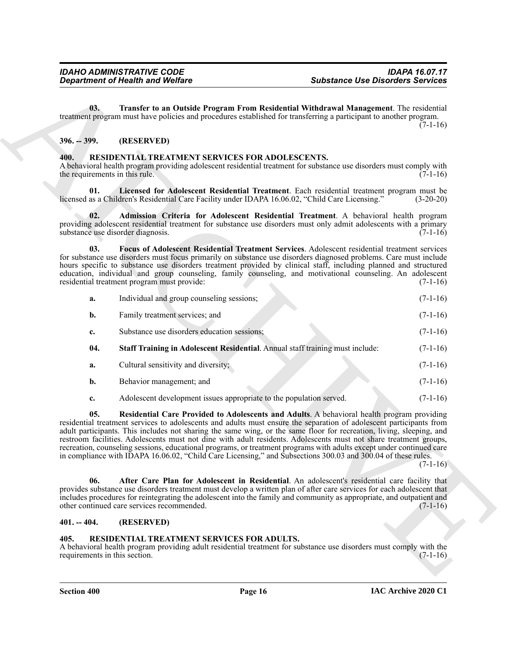#### <span id="page-15-12"></span><span id="page-15-0"></span>**396. -- 399. (RESERVED)**

#### <span id="page-15-8"></span><span id="page-15-7"></span><span id="page-15-5"></span><span id="page-15-4"></span><span id="page-15-1"></span>**400. RESIDENTIAL TREATMENT SERVICES FOR ADOLESCENTS.**

|                                        | <b>Department of Health and Welfare</b>                                                                                                                                                                                                                                                                                                                                                                                                                                                                                                                                                                                                                                                                | <b>Substance Use Disorders Services</b> |             |
|----------------------------------------|--------------------------------------------------------------------------------------------------------------------------------------------------------------------------------------------------------------------------------------------------------------------------------------------------------------------------------------------------------------------------------------------------------------------------------------------------------------------------------------------------------------------------------------------------------------------------------------------------------------------------------------------------------------------------------------------------------|-----------------------------------------|-------------|
| 03.                                    | Transfer to an Outside Program From Residential Withdrawal Management. The residential<br>treatment program must have policies and procedures established for transferring a participant to another program.                                                                                                                                                                                                                                                                                                                                                                                                                                                                                           |                                         | $(7-1-16)$  |
| $396. - 399.$                          | (RESERVED)                                                                                                                                                                                                                                                                                                                                                                                                                                                                                                                                                                                                                                                                                             |                                         |             |
| 400.<br>the requirements in this rule. | RESIDENTIAL TREATMENT SERVICES FOR ADOLESCENTS.<br>A behavioral health program providing adolescent residential treatment for substance use disorders must comply with                                                                                                                                                                                                                                                                                                                                                                                                                                                                                                                                 |                                         | $(7-1-16)$  |
| 01.                                    | Licensed for Adolescent Residential Treatment. Each residential treatment program must be<br>licensed as a Children's Residential Care Facility under IDAPA 16.06.02, "Child Care Licensing."                                                                                                                                                                                                                                                                                                                                                                                                                                                                                                          |                                         | $(3-20-20)$ |
| 02.                                    | Admission Criteria for Adolescent Residential Treatment. A behavioral health program<br>providing adolescent residential treatment for substance use disorders must only admit adolescents with a primary<br>substance use disorder diagnosis.                                                                                                                                                                                                                                                                                                                                                                                                                                                         |                                         | $(7-1-16)$  |
| 03.                                    | Focus of Adolescent Residential Treatment Services. Adolescent residential treatment services<br>for substance use disorders must focus primarily on substance use disorders diagnosed problems. Care must include<br>hours specific to substance use disorders treatment provided by clinical staff, including planned and structured<br>education, individual and group counseling, family counseling, and motivational counseling. An adolescent<br>residential treatment program must provide:                                                                                                                                                                                                     |                                         | $(7-1-16)$  |
| a.                                     | Individual and group counseling sessions;                                                                                                                                                                                                                                                                                                                                                                                                                                                                                                                                                                                                                                                              |                                         | $(7-1-16)$  |
| b.                                     | Family treatment services; and                                                                                                                                                                                                                                                                                                                                                                                                                                                                                                                                                                                                                                                                         |                                         | $(7-1-16)$  |
| c.                                     | Substance use disorders education sessions;                                                                                                                                                                                                                                                                                                                                                                                                                                                                                                                                                                                                                                                            |                                         | $(7-1-16)$  |
| 04.                                    | Staff Training in Adolescent Residential. Annual staff training must include:                                                                                                                                                                                                                                                                                                                                                                                                                                                                                                                                                                                                                          |                                         | $(7-1-16)$  |
| a.                                     | Cultural sensitivity and diversity;                                                                                                                                                                                                                                                                                                                                                                                                                                                                                                                                                                                                                                                                    |                                         | $(7-1-16)$  |
| b.                                     | Behavior management; and                                                                                                                                                                                                                                                                                                                                                                                                                                                                                                                                                                                                                                                                               |                                         | $(7-1-16)$  |
| c.                                     | Adolescent development issues appropriate to the population served.                                                                                                                                                                                                                                                                                                                                                                                                                                                                                                                                                                                                                                    |                                         | $(7-1-16)$  |
| 05.                                    | Residential Care Provided to Adolescents and Adults. A behavioral health program providing<br>residential treatment services to adolescents and adults must ensure the separation of adolescent participants from<br>adult participants. This includes not sharing the same wing, or the same floor for recreation, living, sleeping, and<br>restroom facilities. Adolescents must not dine with adult residents. Adolescents must not share treatment groups,<br>recreation, counseling sessions, educational programs, or treatment programs with adults except under continued care<br>in compliance with IDAPA 16.06.02, "Child Care Licensing," and Subsections 300.03 and 300.04 of these rules. |                                         | $(7-1-16)$  |
| 06.                                    | After Care Plan for Adolescent in Residential. An adolescent's residential care facility that<br>provides substance use disorders treatment must develop a written plan of after care services for each adolescent that<br>includes procedures for reintegrating the adolescent into the family and community as appropriate, and outpatient and<br>other continued care services recommended.                                                                                                                                                                                                                                                                                                         |                                         | $(7-1-16)$  |
| $401. - 404.$                          | (RESERVED)                                                                                                                                                                                                                                                                                                                                                                                                                                                                                                                                                                                                                                                                                             |                                         |             |
| 405.<br>requirements in this section.  | RESIDENTIAL TREATMENT SERVICES FOR ADULTS.<br>A behavioral health program providing adult residential treatment for substance use disorders must comply with the                                                                                                                                                                                                                                                                                                                                                                                                                                                                                                                                       |                                         | $(7-1-16)$  |
|                                        |                                                                                                                                                                                                                                                                                                                                                                                                                                                                                                                                                                                                                                                                                                        |                                         |             |

#### <span id="page-15-10"></span><span id="page-15-9"></span><span id="page-15-6"></span><span id="page-15-2"></span>**401. -- 404. (RESERVED)**

#### <span id="page-15-11"></span><span id="page-15-3"></span>**405. RESIDENTIAL TREATMENT SERVICES FOR ADULTS.**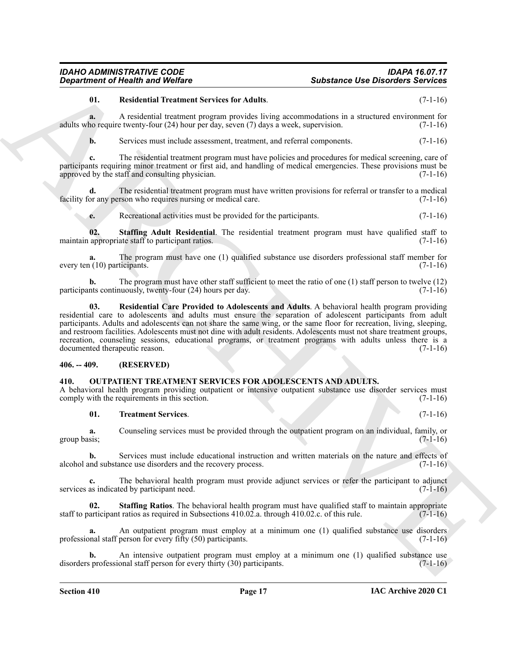# *Department of Health and Welfare Substance Use Disorders Services*

#### <span id="page-16-6"></span>**01. Residential Treatment Services for Adults**. (7-1-16)

**a.** A residential treatment program provides living accommodations in a structured environment for adults who require twenty-four (24) hour per day, seven (7) days a week, supervision. (7-1-16)

**b.** Services must include assessment, treatment, and referral components. (7-1-16)

**c.** The residential treatment program must have policies and procedures for medical screening, care of participants requiring minor treatment or first aid, and handling of medical emergencies. These provisions must be approved by the staff and consulting physician.  $(7-1-16)$ 

**d.** The residential treatment program must have written provisions for referral or transfer to a medical or any person who requires nursing or medical care. (7-1-16) facility for any person who requires nursing or medical care.

<span id="page-16-7"></span>**e.** Recreational activities must be provided for the participants. (7-1-16)

**02. Staffing Adult Residential**. The residential treatment program must have qualified staff to maintain appropriate staff to participant ratios. (7-1-16)

**a.** The program must have one (1) qualified substance use disorders professional staff member for every ten (10) participants. (7-1-16)

<span id="page-16-5"></span>**b.** The program must have other staff sufficient to meet the ratio of one (1) staff person to twelve (12) participants continuously, twenty-four (24) hours per day. (7-1-16)

**Substance One Distribution** (Substance Distribution) Substance One Distribution Series 20.<br>
U. Residential Techniques and the river for the first properties in a structure of the left<br>such as  $\frac{1}{2}$ . A residential Tec **03. Residential Care Provided to Adolescents and Adults**. A behavioral health program providing residential care to adolescents and adults must ensure the separation of adolescent participants from adult participants. Adults and adolescents can not share the same wing, or the same floor for recreation, living, sleeping, and restroom facilities. Adolescents must not dine with adult residents. Adolescents must not share treatment groups, recreation, counseling sessions, educational programs, or treatment programs with adults unless there is a documented therapeutic reason. (7-1-16) documented therapeutic reason.

#### <span id="page-16-0"></span>**406. -- 409. (RESERVED)**

#### <span id="page-16-2"></span><span id="page-16-1"></span>**410. OUTPATIENT TREATMENT SERVICES FOR ADOLESCENTS AND ADULTS.**

A behavioral health program providing outpatient or intensive outpatient substance use disorder services must<br>comply with the requirements in this section. (7-1-16) comply with the requirements in this section.

#### <span id="page-16-4"></span>**01. Treatment Services**. (7-1-16)

**a.** Counseling services must be provided through the outpatient program on an individual, family, or group basis;  $(7-1-16)$ 

**b.** Services must include educational instruction and written materials on the nature and effects of alcohol and substance use disorders and the recovery process. (7-1-16)

**c.** The behavioral health program must provide adjunct services or refer the participant to adjunct services as indicated by participant need. (7-1-16)

<span id="page-16-3"></span>**02. Staffing Ratios**. The behavioral health program must have qualified staff to maintain appropriate staff to participant ratios as required in Subsections 410.02.a. through 410.02.c. of this rule. (7-1-16)

**a.** An outpatient program must employ at a minimum one (1) qualified substance use disorders professional staff person for every fifty (50) participants. (7-1-16)

**b.** An intensive outpatient program must employ at a minimum one (1) qualified substance use disorders professional staff person for every thirty (30) participants. (7-1-16)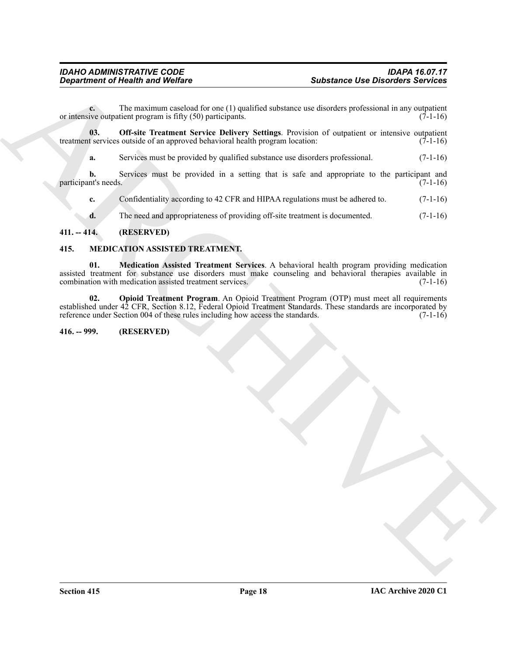**c.** The maximum caseload for one (1) qualified substance use disorders professional in any outpatient or intensive outpatient program is fifty  $(50)$  participants.  $(7-1-16)$ 

**03. Off-site Treatment Service Delivery Settings**. Provision of outpatient or intensive outpatient treatment services outside of an approved behavioral health program location: (7-1-16)

<span id="page-17-6"></span>**a.** Services must be provided by qualified substance use disorders professional. (7-1-16)

**b.** Services must be provided in a setting that is safe and appropriate to the participant and nt's needs. (7-1-16) participant's needs.

**c.** Confidentiality according to 42 CFR and HIPAA regulations must be adhered to. (7-1-16)

<span id="page-17-5"></span><span id="page-17-4"></span>**d.** The need and appropriateness of providing off-site treatment is documented. (7-1-16)

#### <span id="page-17-0"></span>**411. -- 414. (RESERVED)**

#### <span id="page-17-1"></span>**415. MEDICATION ASSISTED TREATMENT.**

Substance the Disorders Substance the Disorders Sections<br>
Numerical Transmitter (N) participates.<br>
Substance to discrete probabilities are objected in the stress of the matter of the matter of the matter of the control of **01. Medication Assisted Treatment Services**. A behavioral health program providing medication assisted treatment for substance use disorders must make counseling and behavioral therapies available in combination with medication assisted treatment services. (7-1-16) combination with medication assisted treatment services.

<span id="page-17-3"></span>02. Opioid Treatment Program. An Opioid Treatment Program (OTP) must meet all requirements established under 42 CFR, Section 8.12, Federal Opioid Treatment Standards. These standards are incorporated by reference under Section 004 of these rules including how access the standards. (7-1-16)

#### <span id="page-17-2"></span>**416. -- 999. (RESERVED)**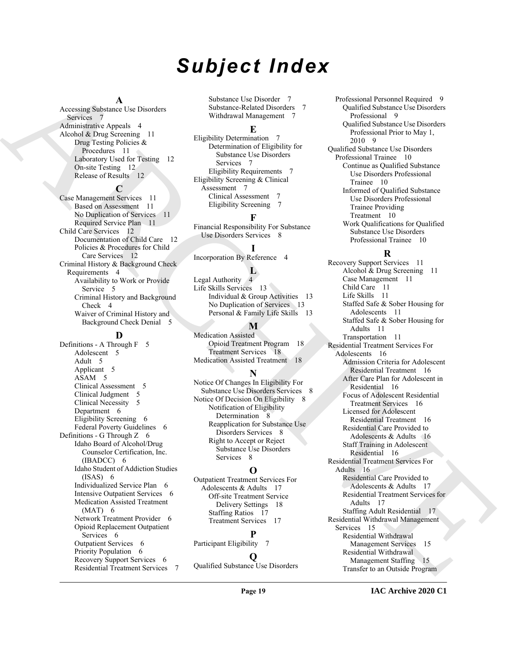# *Subject Index*

#### **A**

Accessing Substance Use Disorders Services<sub>7</sub> Administrative Appeals 4 Alcohol & Drug Screening 11 Drug Testing Policies & Procedures 11 Laboratory Used for Testing 12 On-site Testing 12 Release of Results 12

**C** Case Management Services 11 Based on Assessment 11 No Duplication of Services 11 Required Service Plan 11 Child Care Services 12 Documentation of Child Care 12 Policies & Procedures for Child Care Services 12 Criminal History & Background Check Requirements 4 Availability to Work or Provide Service<sub>5</sub> Criminal History and Background Check 4 Waiver of Criminal History and Background Check Denial 5

#### **D**

Definitions - A Through F 5 Adolescent 5 Adult 5 Applicant 5 ASAM 5 Clinical Assessment 5 Clinical Judgment 5 Clinical Necessity 5 Department 6 Eligibility Screening 6 Federal Poverty Guidelines 6 Definitions - G Through Z 6 Idaho Board of Alcohol/Drug Counselor Certification, Inc. (IBADCC) 6 Idaho Student of Addiction Studies (ISAS) 6 Individualized Service Plan 6 Intensive Outpatient Services 6 Medication Assisted Treatment  $(MAT) 6$ Network Treatment Provider 6 Opioid Replacement Outpatient Services 6 Outpatient Services 6 Priority Population 6 Recovery Support Services 6 Residential Treatment Services 7 Substance Use Disorder 7 Substance-Related Disorders 7 Withdrawal Management 7

#### **E**

Eligibility Determination 7 Determination of Eligibility for Substance Use Disorders Services 7 Eligibility Requirements 7 Eligibility Screening & Clinical Assessment 7 Clinical Assessment 7 Eligibility Screening 7

#### **F**

Financial Responsibility For Substance Use Disorders Services 8

# **I**

Incorporation By Reference 4

### **L**

Legal Authority 4 Life Skills Services 13 Individual & Group Activities 13 No Duplication of Services 13 Personal & Family Life Skills 13

#### **M**

Medication Assisted Opioid Treatment Program 18 Treatment Services 18 Medication Assisted Treatment 18

#### **N**

Notice Of Changes In Eligibility For Substance Use Disorders Services 8 Notice Of Decision On Eligibility 8 Notification of Eligibility Determination 8 Reapplication for Substance Use Disorders Services 8 Right to Accept or Reject Substance Use Disorders Services 8

## **O**

Outpatient Treatment Services For Adolescents & Adults 17 Off-site Treatment Service Delivery Settings 18 Staffing Ratios 17 Treatment Services 17

## **P**

Participant Eligibility 7

# **Q**

Qualified Substance Use Disorders

Professional Personnel Required 9 Qualified Substance Use Disorders Professional 9 Qualified Substance Use Disorders Professional Prior to May 1, 2010 9 Qualified Substance Use Disorders Professional Trainee 10 Continue as Qualified Substance

> Use Disorders Professional Trainee 10 Informed of Qualified Substance Use Disorders Professional Trainee Providing Treatment 10 Work Qualifications for Qualified Substance Use Disorders

### Professional Trainee 10 **R**

[A](#page-6-5)ccousing Solution is considered to the considered of the state of the state of the state of the state of the state of the state of the state of the state of the state of the state of the state of the state of the state o Recovery Support Services 11 Alcohol & Drug Screening 11 Case Management 11 Child Care 11 Life Skills 11 Staffed Safe & Sober Housing for Adolescents 11 Staffed Safe & Sober Housing for Adults 11 Transportation 11 Residential Treatment Services For Adolescents 16 Admission Criteria for Adolescent Residential Treatment 16 After Care Plan for Adolescent in Residential 16 Focus of Adolescent Residential Treatment Services 16 Licensed for Adolescent Residential Treatment 16 Residential Care Provided to Adolescents & Adults 16 Staff Training in Adolescent Residential 16 Residential Treatment Services For Adults 16 Residential Care Provided to Adolescents & Adults 17 Residential Treatment Services for Adults 17 Staffing Adult Residential 17 Residential Withdrawal Management Services 15 Residential Withdrawal Management Services 15 Residential Withdrawal Management Staffing 15 Transfer to an Outside Program